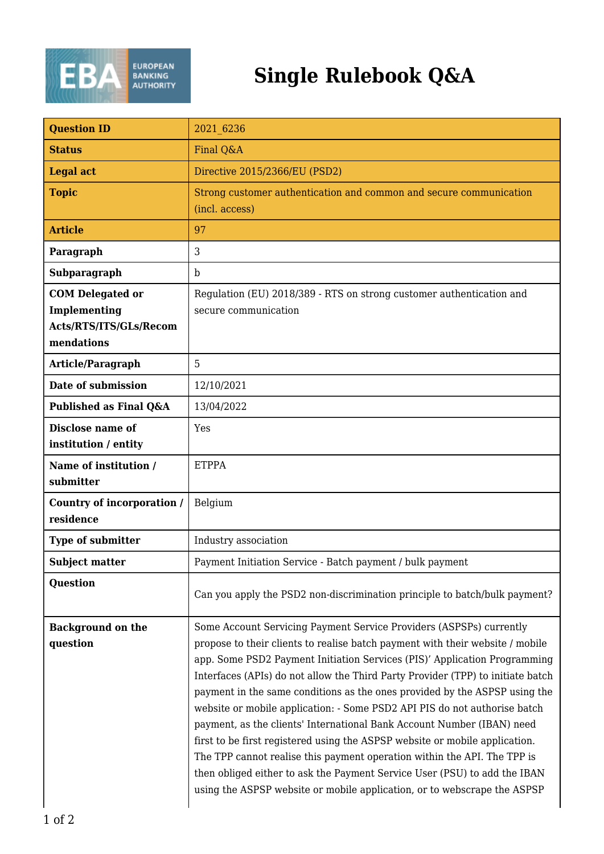

## **Single Rulebook Q&A**

| <b>Question ID</b>                                                              | 2021 6236                                                                                                                                                                                                                                                                                                                                                                                                                                                                                                                                                                                                                                                                                                                                                                                                                                                                     |
|---------------------------------------------------------------------------------|-------------------------------------------------------------------------------------------------------------------------------------------------------------------------------------------------------------------------------------------------------------------------------------------------------------------------------------------------------------------------------------------------------------------------------------------------------------------------------------------------------------------------------------------------------------------------------------------------------------------------------------------------------------------------------------------------------------------------------------------------------------------------------------------------------------------------------------------------------------------------------|
| <b>Status</b>                                                                   | Final Q&A                                                                                                                                                                                                                                                                                                                                                                                                                                                                                                                                                                                                                                                                                                                                                                                                                                                                     |
| <b>Legal act</b>                                                                | Directive 2015/2366/EU (PSD2)                                                                                                                                                                                                                                                                                                                                                                                                                                                                                                                                                                                                                                                                                                                                                                                                                                                 |
| <b>Topic</b>                                                                    | Strong customer authentication and common and secure communication<br>(incl. access)                                                                                                                                                                                                                                                                                                                                                                                                                                                                                                                                                                                                                                                                                                                                                                                          |
| <b>Article</b>                                                                  | 97                                                                                                                                                                                                                                                                                                                                                                                                                                                                                                                                                                                                                                                                                                                                                                                                                                                                            |
| Paragraph                                                                       | 3                                                                                                                                                                                                                                                                                                                                                                                                                                                                                                                                                                                                                                                                                                                                                                                                                                                                             |
| Subparagraph                                                                    | b                                                                                                                                                                                                                                                                                                                                                                                                                                                                                                                                                                                                                                                                                                                                                                                                                                                                             |
| <b>COM Delegated or</b><br>Implementing<br>Acts/RTS/ITS/GLs/Recom<br>mendations | Regulation (EU) 2018/389 - RTS on strong customer authentication and<br>secure communication                                                                                                                                                                                                                                                                                                                                                                                                                                                                                                                                                                                                                                                                                                                                                                                  |
| <b>Article/Paragraph</b>                                                        | 5                                                                                                                                                                                                                                                                                                                                                                                                                                                                                                                                                                                                                                                                                                                                                                                                                                                                             |
| Date of submission                                                              | 12/10/2021                                                                                                                                                                                                                                                                                                                                                                                                                                                                                                                                                                                                                                                                                                                                                                                                                                                                    |
| Published as Final Q&A                                                          | 13/04/2022                                                                                                                                                                                                                                                                                                                                                                                                                                                                                                                                                                                                                                                                                                                                                                                                                                                                    |
| Disclose name of<br>institution / entity                                        | Yes                                                                                                                                                                                                                                                                                                                                                                                                                                                                                                                                                                                                                                                                                                                                                                                                                                                                           |
| Name of institution /<br>submitter                                              | <b>ETPPA</b>                                                                                                                                                                                                                                                                                                                                                                                                                                                                                                                                                                                                                                                                                                                                                                                                                                                                  |
| <b>Country of incorporation /</b><br>residence                                  | Belgium                                                                                                                                                                                                                                                                                                                                                                                                                                                                                                                                                                                                                                                                                                                                                                                                                                                                       |
| Type of submitter                                                               | Industry association                                                                                                                                                                                                                                                                                                                                                                                                                                                                                                                                                                                                                                                                                                                                                                                                                                                          |
| <b>Subject matter</b>                                                           | Payment Initiation Service - Batch payment / bulk payment                                                                                                                                                                                                                                                                                                                                                                                                                                                                                                                                                                                                                                                                                                                                                                                                                     |
| <b>Question</b>                                                                 | Can you apply the PSD2 non-discrimination principle to batch/bulk payment?                                                                                                                                                                                                                                                                                                                                                                                                                                                                                                                                                                                                                                                                                                                                                                                                    |
| <b>Background on the</b><br>question                                            | Some Account Servicing Payment Service Providers (ASPSPs) currently<br>propose to their clients to realise batch payment with their website / mobile<br>app. Some PSD2 Payment Initiation Services (PIS)' Application Programming<br>Interfaces (APIs) do not allow the Third Party Provider (TPP) to initiate batch<br>payment in the same conditions as the ones provided by the ASPSP using the<br>website or mobile application: - Some PSD2 API PIS do not authorise batch<br>payment, as the clients' International Bank Account Number (IBAN) need<br>first to be first registered using the ASPSP website or mobile application.<br>The TPP cannot realise this payment operation within the API. The TPP is<br>then obliged either to ask the Payment Service User (PSU) to add the IBAN<br>using the ASPSP website or mobile application, or to webscrape the ASPSP |